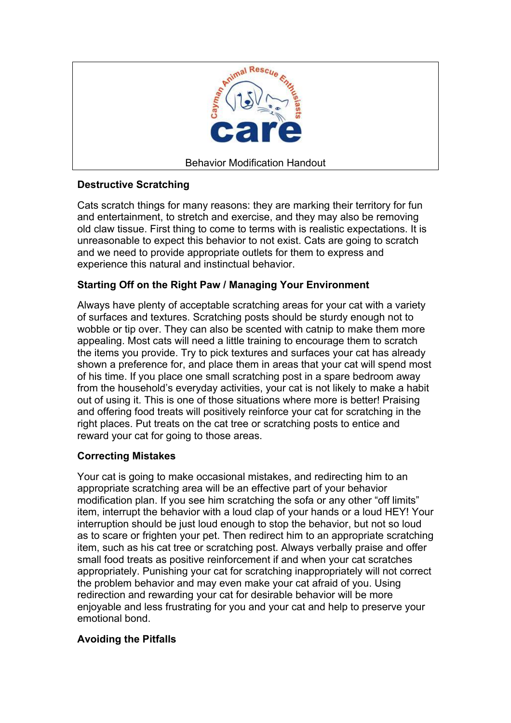

# **Destructive Scratching**

Cats scratch things for many reasons: they are marking their territory for fun and entertainment, to stretch and exercise, and they may also be removing old claw tissue. First thing to come to terms with is realistic expectations. It is unreasonable to expect this behavior to not exist. Cats are going to scratch and we need to provide appropriate outlets for them to express and experience this natural and instinctual behavior.

## **Starting Off on the Right Paw / Managing Your Environment**

Always have plenty of acceptable scratching areas for your cat with a variety of surfaces and textures. Scratching posts should be sturdy enough not to wobble or tip over. They can also be scented with catnip to make them more appealing. Most cats will need a little training to encourage them to scratch the items you provide. Try to pick textures and surfaces your cat has already shown a preference for, and place them in areas that your cat will spend most of his time. If you place one small scratching post in a spare bedroom away from the household's everyday activities, your cat is not likely to make a habit out of using it. This is one of those situations where more is better! Praising and offering food treats will positively reinforce your cat for scratching in the right places. Put treats on the cat tree or scratching posts to entice and reward your cat for going to those areas.

## **Correcting Mistakes**

Your cat is going to make occasional mistakes, and redirecting him to an appropriate scratching area will be an effective part of your behavior modification plan. If you see him scratching the sofa or any other "off limits" item, interrupt the behavior with a loud clap of your hands or a loud HEY! Your interruption should be just loud enough to stop the behavior, but not so loud as to scare or frighten your pet. Then redirect him to an appropriate scratching item, such as his cat tree or scratching post. Always verbally praise and offer small food treats as positive reinforcement if and when your cat scratches appropriately. Punishing your cat for scratching inappropriately will not correct the problem behavior and may even make your cat afraid of you. Using redirection and rewarding your cat for desirable behavior will be more enjoyable and less frustrating for you and your cat and help to preserve your emotional bond.

## **Avoiding the Pitfalls**